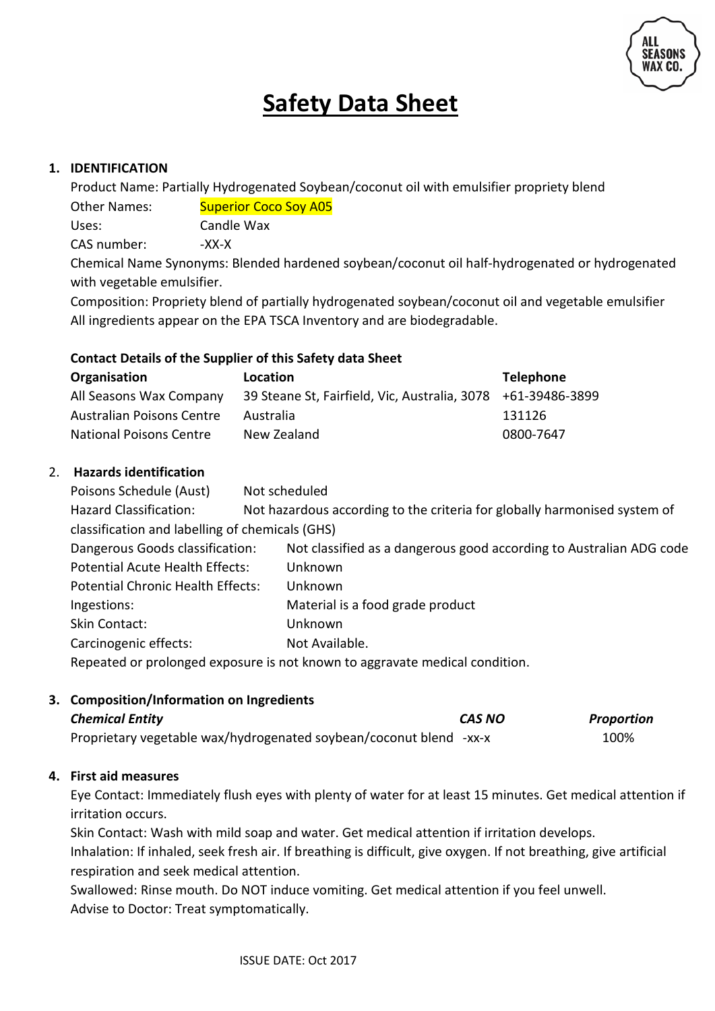

# **Safety Data Sheet**

## **1. IDENTIFICATION**

Product Name: Partially Hydrogenated Soybean/coconut oil with emulsifier propriety blend Other Names: Superior Coco Sov A05 Uses: Candle Wax CAS number: -XX-X

Chemical Name Synonyms: Blended hardened soybean/coconut oil half-hydrogenated or hydrogenated with vegetable emulsifier.

Composition: Propriety blend of partially hydrogenated soybean/coconut oil and vegetable emulsifier All ingredients appear on the EPA TSCA Inventory and are biodegradable.

#### **Contact Details of the Supplier of this Safety data Sheet**

| Organisation                     | Location                                                     | <b>Telephone</b> |
|----------------------------------|--------------------------------------------------------------|------------------|
| All Seasons Wax Company          | 39 Steane St, Fairfield, Vic, Australia, 3078 +61-39486-3899 |                  |
| <b>Australian Poisons Centre</b> | Australia                                                    | 131126           |
| <b>National Poisons Centre</b>   | New Zealand                                                  | 0800-7647        |

#### 2. **Hazards identification**

| Poisons Schedule (Aust)                                                     |  | Not scheduled                                                             |
|-----------------------------------------------------------------------------|--|---------------------------------------------------------------------------|
| <b>Hazard Classification:</b>                                               |  | Not hazardous according to the criteria for globally harmonised system of |
| classification and labelling of chemicals (GHS)                             |  |                                                                           |
| Dangerous Goods classification:                                             |  | Not classified as a dangerous good according to Australian ADG code       |
| Potential Acute Health Effects:                                             |  | Unknown                                                                   |
| <b>Potential Chronic Health Effects:</b>                                    |  | Unknown                                                                   |
| Ingestions:                                                                 |  | Material is a food grade product                                          |
| Skin Contact:                                                               |  | Unknown                                                                   |
| Carcinogenic effects:                                                       |  | Not Available.                                                            |
| Repeated or prolonged exposure is not known to aggravate medical condition. |  |                                                                           |

#### **3. Composition/Information on Ingredients**

| <b>Chemical Entity</b>                                             | CAS NO | Proportion |
|--------------------------------------------------------------------|--------|------------|
| Proprietary vegetable wax/hydrogenated soybean/coconut blend -xx-x |        | 100%       |

#### **4. First aid measures**

Eye Contact: Immediately flush eyes with plenty of water for at least 15 minutes. Get medical attention if irritation occurs.

Skin Contact: Wash with mild soap and water. Get medical attention if irritation develops. Inhalation: If inhaled, seek fresh air. If breathing is difficult, give oxygen. If not breathing, give artificial respiration and seek medical attention.

Swallowed: Rinse mouth. Do NOT induce vomiting. Get medical attention if you feel unwell. Advise to Doctor: Treat symptomatically.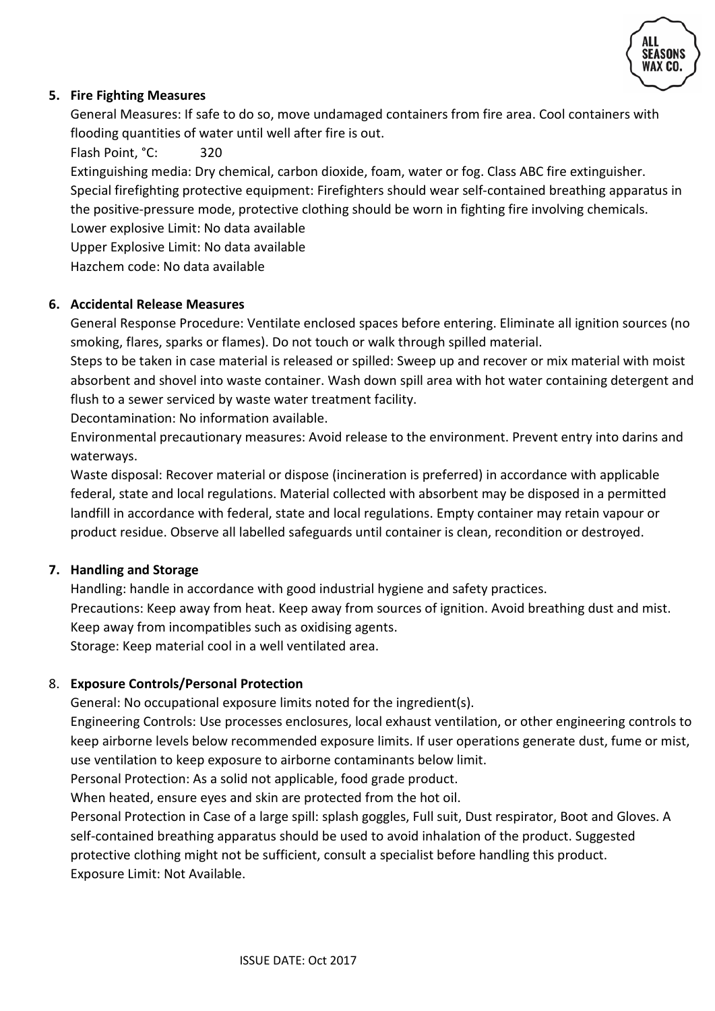

## **5. Fire Fighting Measures**

General Measures: If safe to do so, move undamaged containers from fire area. Cool containers with flooding quantities of water until well after fire is out.

Flash Point, °C: 320

Extinguishing media: Dry chemical, carbon dioxide, foam, water or fog. Class ABC fire extinguisher. Special firefighting protective equipment: Firefighters should wear self-contained breathing apparatus in the positive-pressure mode, protective clothing should be worn in fighting fire involving chemicals. Lower explosive Limit: No data available

Upper Explosive Limit: No data available

Hazchem code: No data available

#### **6. Accidental Release Measures**

General Response Procedure: Ventilate enclosed spaces before entering. Eliminate all ignition sources (no smoking, flares, sparks or flames). Do not touch or walk through spilled material.

Steps to be taken in case material is released or spilled: Sweep up and recover or mix material with moist absorbent and shovel into waste container. Wash down spill area with hot water containing detergent and flush to a sewer serviced by waste water treatment facility.

Decontamination: No information available.

Environmental precautionary measures: Avoid release to the environment. Prevent entry into darins and waterways.

Waste disposal: Recover material or dispose (incineration is preferred) in accordance with applicable federal, state and local regulations. Material collected with absorbent may be disposed in a permitted landfill in accordance with federal, state and local regulations. Empty container may retain vapour or product residue. Observe all labelled safeguards until container is clean, recondition or destroyed.

#### **7. Handling and Storage**

Handling: handle in accordance with good industrial hygiene and safety practices. Precautions: Keep away from heat. Keep away from sources of ignition. Avoid breathing dust and mist. Keep away from incompatibles such as oxidising agents.

Storage: Keep material cool in a well ventilated area.

#### 8. **Exposure Controls/Personal Protection**

General: No occupational exposure limits noted for the ingredient(s).

Engineering Controls: Use processes enclosures, local exhaust ventilation, or other engineering controls to keep airborne levels below recommended exposure limits. If user operations generate dust, fume or mist, use ventilation to keep exposure to airborne contaminants below limit.

Personal Protection: As a solid not applicable, food grade product.

When heated, ensure eyes and skin are protected from the hot oil.

Personal Protection in Case of a large spill: splash goggles, Full suit, Dust respirator, Boot and Gloves. A self-contained breathing apparatus should be used to avoid inhalation of the product. Suggested protective clothing might not be sufficient, consult a specialist before handling this product. Exposure Limit: Not Available.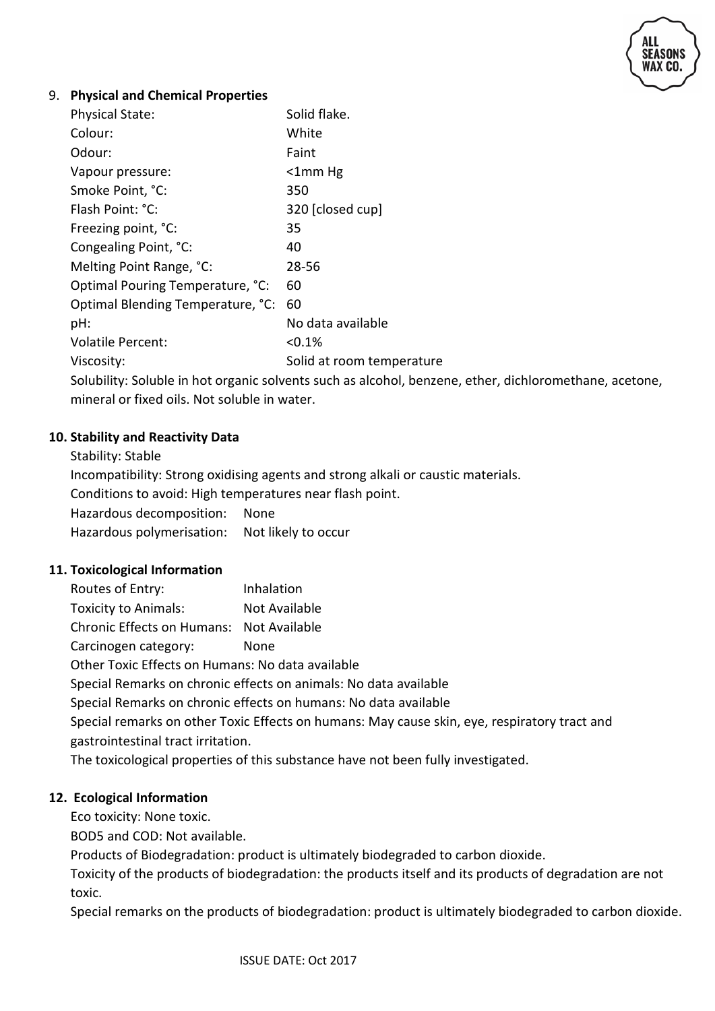

#### 9. **Physical and Chemical Properties**

| <b>Physical State:</b>            | Solid flake.              |
|-----------------------------------|---------------------------|
| Colour:                           | White                     |
| Odour:                            | Faint                     |
| Vapour pressure:                  | $<$ 1mm Hg                |
| Smoke Point, °C:                  | 350                       |
| Flash Point: °C:                  | 320 [closed cup]          |
| Freezing point, °C:               | 35                        |
| Congealing Point, °C:             | 40                        |
| Melting Point Range, °C:          | 28-56                     |
| Optimal Pouring Temperature, °C:  | 60                        |
| Optimal Blending Temperature, °C: | 60                        |
| pH:                               | No data available         |
| <b>Volatile Percent:</b>          | < 0.1%                    |
| Viscosity:                        | Solid at room temperature |
|                                   |                           |

Solubility: Soluble in hot organic solvents such as alcohol, benzene, ether, dichloromethane, acetone, mineral or fixed oils. Not soluble in water.

#### **10. Stability and Reactivity Data**

Stability: Stable Incompatibility: Strong oxidising agents and strong alkali or caustic materials. Conditions to avoid: High temperatures near flash point. Hazardous decomposition: None Hazardous polymerisation: Not likely to occur

#### **11. Toxicological Information**

Routes of Entry: Inhalation Toxicity to Animals: Not Available Chronic Effects on Humans: Not Available Carcinogen category: None

Other Toxic Effects on Humans: No data available

Special Remarks on chronic effects on animals: No data available

Special Remarks on chronic effects on humans: No data available

Special remarks on other Toxic Effects on humans: May cause skin, eye, respiratory tract and gastrointestinal tract irritation.

The toxicological properties of this substance have not been fully investigated.

#### **12. Ecological Information**

Eco toxicity: None toxic.

BOD5 and COD: Not available.

Products of Biodegradation: product is ultimately biodegraded to carbon dioxide.

Toxicity of the products of biodegradation: the products itself and its products of degradation are not toxic.

Special remarks on the products of biodegradation: product is ultimately biodegraded to carbon dioxide.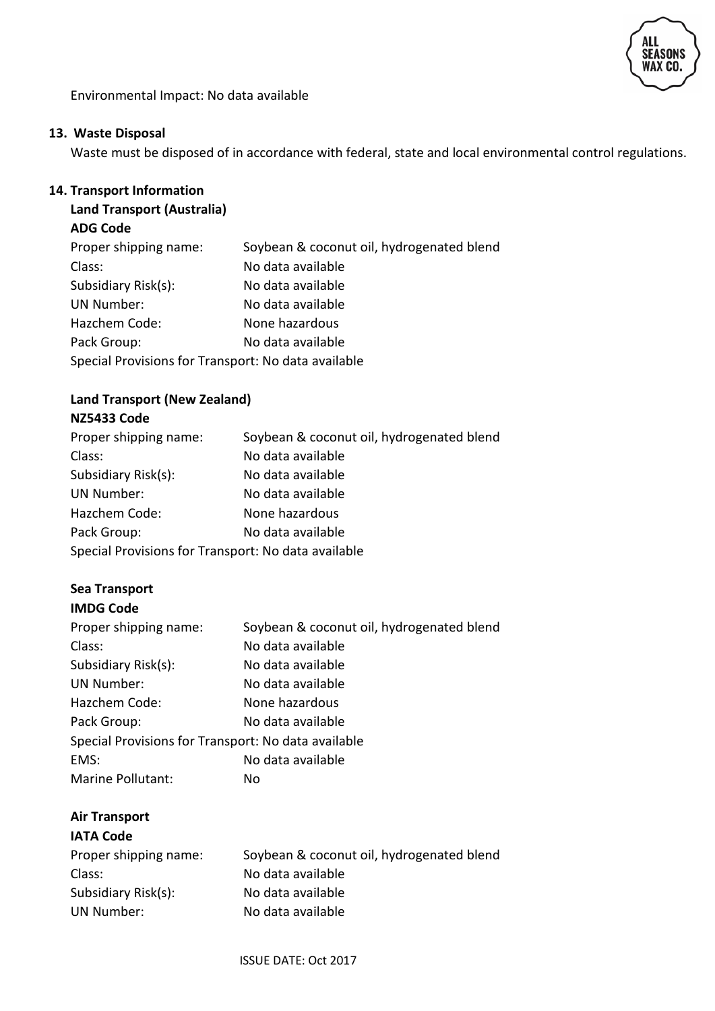

Environmental Impact: No data available

#### **13. Waste Disposal**

Waste must be disposed of in accordance with federal, state and local environmental control regulations.

#### **14. Transport Information**

# **Land Transport (Australia)**

# **ADG Code**

| Soybean & coconut oil, hydrogenated blend           |
|-----------------------------------------------------|
| No data available                                   |
| No data available                                   |
| No data available                                   |
| None hazardous                                      |
| No data available                                   |
| Special Provisions for Transport: No data available |
|                                                     |

# **Land Transport (New Zealand)**

# **NZ5433 Code**

| Proper shipping name:                               | Soybean & coconut oil, hydrogenated blend |
|-----------------------------------------------------|-------------------------------------------|
| Class:                                              | No data available                         |
| Subsidiary Risk(s):                                 | No data available                         |
| <b>UN Number:</b>                                   | No data available                         |
| Hazchem Code:                                       | None hazardous                            |
| Pack Group:                                         | No data available                         |
| Special Provisions for Transport: No data available |                                           |

# **Sea Transport**

# **IMDG Code**

| Proper shipping name:                               | Soybean & coconut oil, hydrogenated blend |
|-----------------------------------------------------|-------------------------------------------|
| Class:                                              | No data available                         |
| Subsidiary Risk(s):                                 | No data available                         |
| <b>UN Number:</b>                                   | No data available                         |
| Hazchem Code:                                       | None hazardous                            |
| Pack Group:                                         | No data available                         |
| Special Provisions for Transport: No data available |                                           |
| EMS:                                                | No data available                         |
| Marine Pollutant:                                   | No                                        |

# **Air Transport**

| <b>IATA Code</b>      |                                           |
|-----------------------|-------------------------------------------|
| Proper shipping name: | Soybean & coconut oil, hydrogenated blend |
| Class:                | No data available                         |
| Subsidiary Risk(s):   | No data available                         |
| UN Number:            | No data available                         |